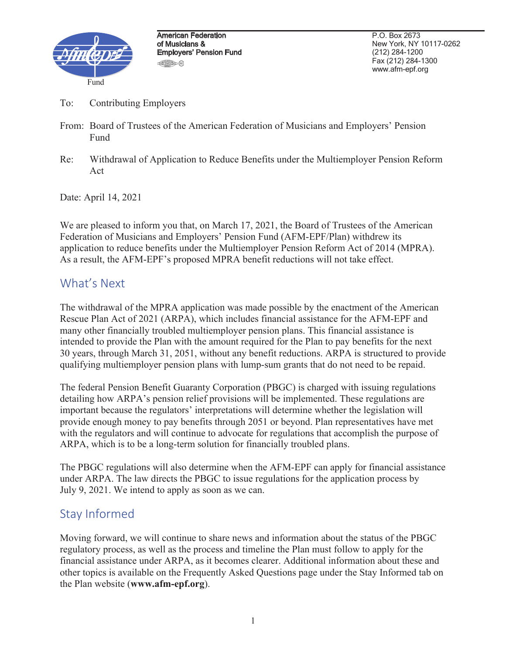

P.O. Box 2673 New York, NY 10117-0262 (212) 284-1200 Fax (212) 284-1300 www.afm-epf.org

- To: Contributing Employers
- From: Board of Trustees of the American Federation of Musicians and Employers' Pension Fund
- Re: Withdrawal of Application to Reduce Benefits under the Multiemployer Pension Reform Act

Date: April 14, 2021

We are pleased to inform you that, on March 17, 2021, the Board of Trustees of the American Federation of Musicians and Employers' Pension Fund (AFM-EPF/Plan) withdrew its application to reduce benefits under the Multiemployer Pension Reform Act of 2014 (MPRA). As a result, the AFM-EPF's proposed MPRA benefit reductions will not take effect.

## What's Next

The withdrawal of the MPRA application was made possible by the enactment of the American Rescue Plan Act of 2021 (ARPA), which includes financial assistance for the AFM-EPF and many other financially troubled multiemployer pension plans. This financial assistance is intended to provide the Plan with the amount required for the Plan to pay benefits for the next 30 years, through March 31, 2051, without any benefit reductions. ARPA is structured to provide qualifying multiemployer pension plans with lump-sum grants that do not need to be repaid.

The federal Pension Benefit Guaranty Corporation (PBGC) is charged with issuing regulations detailing how ARPA's pension relief provisions will be implemented. These regulations are important because the regulators' interpretations will determine whether the legislation will provide enough money to pay benefits through 2051 or beyond. Plan representatives have met with the regulators and will continue to advocate for regulations that accomplish the purpose of ARPA, which is to be a long-term solution for financially troubled plans.

The PBGC regulations will also determine when the AFM-EPF can apply for financial assistance under ARPA. The law directs the PBGC to issue regulations for the application process by July 9, 2021. We intend to apply as soon as we can.

## Stay Informed

Moving forward, we will continue to share news and information about the status of the PBGC regulatory process, as well as the process and timeline the Plan must follow to apply for the financial assistance under ARPA, as it becomes clearer. Additional information about these and other topics is available on the Frequently Asked Questions page under the Stay Informed tab on the Plan website (**www.afm-epf.org**).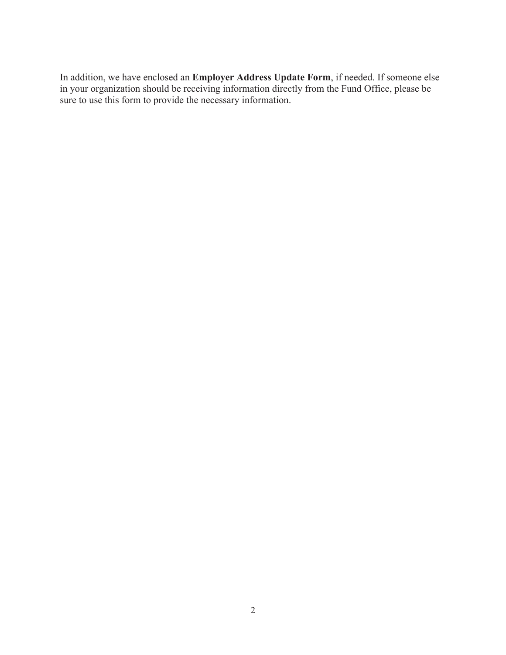In addition, we have enclosed an **Employer Address Update Form**, if needed. If someone else in your organization should be receiving information directly from the Fund Office, please be sure to use this form to provide the necessary information.